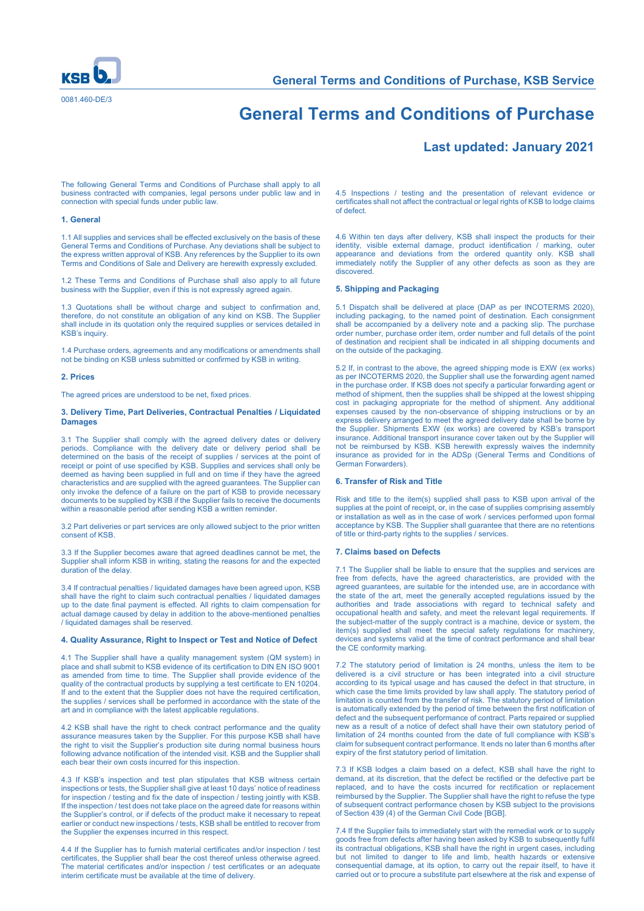

# **General Terms and Conditions of Purchase**

# **Last updated: January 2021**

The following General Terms and Conditions of Purchase shall apply to all business contracted with companies, legal persons under public law and in connection with special funds under public law.

#### **1. General**

1.1 All supplies and services shall be effected exclusively on the basis of these General Terms and Conditions of Purchase. Any deviations shall be subject to the express written approval of KSB. Any references by the Supplier to its own Terms and Conditions of Sale and Delivery are herewith expressly excluded.

1.2 These Terms and Conditions of Purchase shall also apply to all future business with the Supplier, even if this is not expressly agreed again.

1.3 Quotations shall be without charge and subject to confirmation and, therefore, do not constitute an obligation of any kind on KSB. The Supplier shall include in its quotation only the required supplies or services detailed in KSB's inquiry.

1.4 Purchase orders, agreements and any modifications or amendments shall not be binding on KSB unless submitted or confirmed by KSB in writing.

#### **2. Prices**

The agreed prices are understood to be net, fixed prices.

#### **3. Delivery Time, Part Deliveries, Contractual Penalties / Liquidated Damages**

3.1 The Supplier shall comply with the agreed delivery dates or delivery periods. Compliance with the delivery date or delivery period shall be determined on the basis of the receipt of supplies / services at the point of receipt or point of use specified by KSB. Supplies and services shall only be deemed as having been supplied in full and on time if they have the agreed characteristics and are supplied with the agreed guarantees. The Supplier can only invoke the defence of a failure on the part of KSB to provide necessary documents to be supplied by KSB if the Supplier fails to receive the documents within a reasonable period after sending KSB a written reminder.

3.2 Part deliveries or part services are only allowed subject to the prior written consent of KSB.

3.3 If the Supplier becomes aware that agreed deadlines cannot be met, the Supplier shall inform KSB in writing, stating the reasons for and the expected duration of the delay.

3.4 If contractual penalties / liquidated damages have been agreed upon, KSB shall have the right to claim such contractual penalties / liquidated damages up to the date final payment is effected. All rights to claim compensation for actual damage caused by delay in addition to the above-mentioned penalties / liquidated damages shall be reserved.

#### **4. Quality Assurance, Right to Inspect or Test and Notice of Defect**

4.1 The Supplier shall have a quality management system (QM system) in place and shall submit to KSB evidence of its certification to DIN EN ISO 9001 as amended from time to time. The Supplier shall provide evidence of the quality of the contractual products by supplying a test certificate to EN 10204. If and to the extent that the Supplier does not have the required certification, the supplies / services shall be performed in accordance with the state of the art and in compliance with the latest applicable regulations.

4.2 KSB shall have the right to check contract performance and the quality assurance measures taken by the Supplier. For this purpose KSB shall have the right to visit the Supplier's production site during normal business hours following advance notification of the intended visit. KSB and the Supplier shall each bear their own costs incurred for this inspection.

4.3 If KSB's inspection and test plan stipulates that KSB witness certain inspections or tests, the Supplier shall give at least 10 days' notice of readiness for inspection / testing and fix the date of inspection / testing jointly with KSB. If the inspection / test does not take place on the agreed date for reasons within the Supplier's control, or if defects of the product make it necessary to repeat earlier or conduct new inspections / tests, KSB shall be entitled to recover from the Supplier the expenses incurred in this respect.

4.4 If the Supplier has to furnish material certificates and/or inspection / test certificates, the Supplier shall bear the cost thereof unless otherwise agreed. The material certificates and/or inspection / test certificates or an adequate interim certificate must be available at the time of delivery.

4.5 Inspections / testing and the presentation of relevant evidence or certificates shall not affect the contractual or legal rights of KSB to lodge claims of defect.

4.6 Within ten days after delivery, KSB shall inspect the products for their identity, visible external damage, product identification / marking, outer appearance and deviations from the ordered quantity only. KSB shall immediately notify the Supplier of any other defects as soon as they are discovered.

# **5. Shipping and Packaging**

5.1 Dispatch shall be delivered at place (DAP as per INCOTERMS 2020), including packaging, to the named point of destination. Each consignment shall be accompanied by a delivery note and a packing slip. The purchase order number, purchase order item, order number and full details of the point of destination and recipient shall be indicated in all shipping documents and on the outside of the packaging.

5.2 If, in contrast to the above, the agreed shipping mode is EXW (ex works) as per INCOTERMS 2020, the Supplier shall use the forwarding agent named in the purchase order. If KSB does not specify a particular forwarding agent or method of shipment, then the supplies shall be shipped at the lowest shipping cost in packaging appropriate for the method of shipment. Any additional expenses caused by the non-observance of shipping instructions or by an experises caused by the non-cool range of chipping measurements express delivery arranged to meet the agreed delivery date shall be borne by the Supplier. Shipments EXW (ex works) are covered by KSB's transport insurance. Additional transport insurance cover taken out by the Supplier will not be reimbursed by KSB. KSB herewith expressly waives the indemnity insurance as provided for in the ADSp (General Terms and Conditions of German Forwarders).

#### **6. Transfer of Risk and Title**

Risk and title to the item(s) supplied shall pass to KSB upon arrival of the supplies at the point of receipt, or, in the case of supplies comprising assembly or installation as well as in the case of work / services performed upon formal acceptance by KSB. The Supplier shall guarantee that there are no retentions of title or third-party rights to the supplies / services.

#### **7. Claims based on Defects**

7.1 The Supplier shall be liable to ensure that the supplies and services are free from defects, have the agreed characteristics, are provided with the agreed guarantees, are suitable for the intended use, are in accordance with the state of the art, meet the generally accepted regulations issued by the authorities and trade associations with regard to technical safety and occupational health and safety, and meet the relevant legal requirements. If the subject-matter of the supply contract is a machine, device or system, the item(s) supplied shall meet the special safety regulations for machinery, devices and systems valid at the time of contract performance and shall bear the CE conformity marking.

7.2 The statutory period of limitation is 24 months, unless the item to be delivered is a civil structure or has been integrated into a civil structure according to its typical usage and has caused the defect in that structure, in which case the time limits provided by law shall apply. The statutory period of limitation is counted from the transfer of risk. The statutory period of limitation is automatically extended by the period of time between the first notification of defect and the subsequent performance of contract. Parts repaired or supplied new as a result of a notice of defect shall have their own statutory period of limitation of 24 months counted from the date of full compliance with KSB's claim for subsequent contract performance. It ends no later than 6 months after expiry of the first statutory period of limitation.

7.3 If KSB lodges a claim based on a defect, KSB shall have the right to demand, at its discretion, that the defect be rectified or the defective part be replaced, and to have the costs incurred for rectification or replacement reimbursed by the Supplier. The Supplier shall have the right to refuse the type of subsequent contract performance chosen by KSB subject to the provisions of Section 439 (4) of the German Civil Code [BGB].

7.4 If the Supplier fails to immediately start with the remedial work or to supply goods free from defects after having been asked by KSB to subsequently fulfil its contractual obligations, KSB shall have the right in urgent cases, including but not limited to danger to life and limb, health hazards or extensive consequential damage, at its option, to carry out the repair itself, to have it carried out or to procure a substitute part elsewhere at the risk and expense of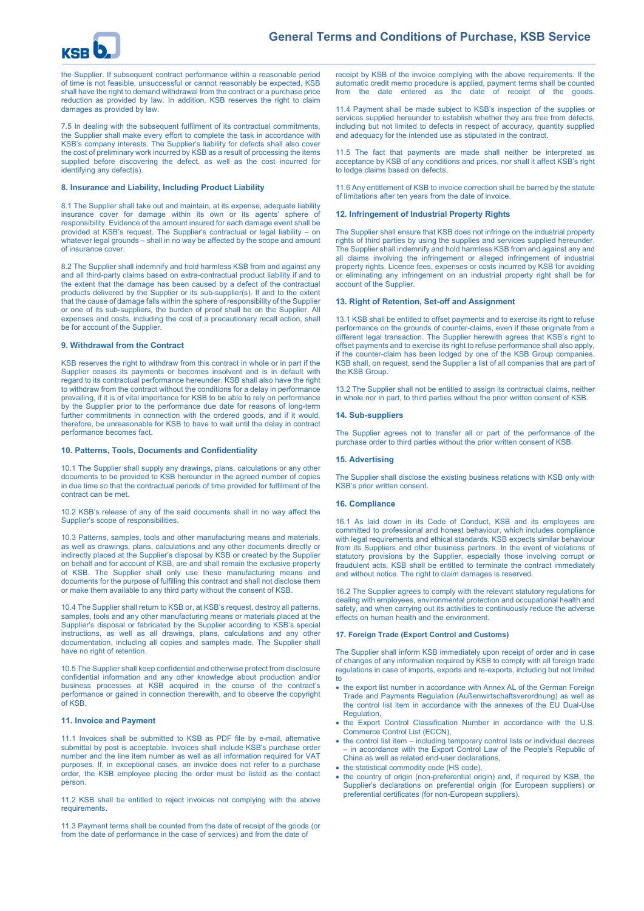

the Supplier. If subsequent contract performance within a reasonable period of time is not feasible, unsuccessful or cannot reasonably be expected, KSB shall have the right to demand withdrawal from the contract or a purchase price reduction as provided by law. In addition, KSB reserves the right to claim damages as provided by law.

7.5 In dealing with the subsequent fulfilment of its contractual commitments, the Supplier shall make every effort to complete the task in accordance with KSB's company interests. The Supplier's liability for defects shall also cover the cost of preliminary work incurred by KSB as a result of processing the items supplied before discovering the defect, as well as the cost incurred for identifying any defect(s).

#### **8. Insurance and Liability, Including Product Liability**

8.1 The Supplier shall take out and maintain, at its expense, adequate liability insurance cover for damage within its own or its agents' sphere of responsibility. Evidence of the amount insured for each damage event shall be provided at KSB's request. The Supplier's contractual or legal liability – on whatever legal grounds – shall in no way be affected by the scope and amount of insurance cover.

8.2 The Supplier shall indemnify and hold harmless KSB from and against any and all third-party claims based on extra-contractual product liability if and to the extent that the damage has been caused by a defect of the contractual products delivered by the Supplier or its sub-supplier(s). If and to the extent that the cause of damage falls within the sphere of responsibility of the Supplier or one of its sub-suppliers, the burden of proof shall be on the Supplier. All expenses and costs, including the cost of a precautionary recall action, shall be for account of the Supplier

#### **9. Withdrawal from the Contract**

KSB reserves the right to withdraw from this contract in whole or in part if the Supplier ceases its payments or becomes insolvent and is in default with regard to its contractual performance hereunder. KSB shall also have the right to withdraw from the contract without the conditions for a delay in performance prevailing, if it is of vital importance for KSB to be able to rely on performance by the Supplier prior to the performance due date for reasons of long-term further commitments in connection with the ordered goods, and if it would, therefore, be unreasonable for KSB to have to wait until the delay in contract performance becomes fact.

#### **10. Patterns, Tools, Documents and Confidentiality**

10.1 The Supplier shall supply any drawings, plans, calculations or any other documents to be provided to KSB hereunder in the agreed number of copies in due time so that the contractual periods of time provided for fulfilment of the contract can be met.

10.2 KSB's release of any of the said documents shall in no way affect the Supplier's scope of responsibilities.

10.3 Patterns, samples, tools and other manufacturing means and materials, as well as drawings, plans, calculations and any other documents directly or indirectly placed at the Supplier's disposal by KSB or created by the Supplier on behalf and for account of KSB, are and shall remain the exclusive property of KSB. The Supplier shall only use these manufacturing means and documents for the purpose of fulfilling this contract and shall not disclose them or make them available to any third party without the consent of KSB.

10.4 The Supplier shall return to KSB or, at KSB's request, destroy all patterns, samples, tools and any other manufacturing means or materials placed at the Supplier's disposal or fabricated by the Supplier according to KSB's special instructions, as well as all drawings, plans, calculations and any other documentation, including all copies and samples made. The Supplier shall have no right of retention.

10.5 The Supplier shall keep confidential and otherwise protect from disclosure confidential information and any other knowledge about production and/or business processes at KSB acquired in the course of the contract's performance or gained in connection therewith, and to observe the copyright of KSB.

#### **11. Invoice and Payment**

11.1 Invoices shall be submitted to KSB as PDF file by e-mail, alternative submittal by post is acceptable. Invoices shall include KSB's purchase order number and the line item number as well as all information required for VAT purposes. If, in exceptional cases, an invoice does not refer to a purchase order, the KSB employee placing the order must be listed as the contact **person** 

11.2 KSB shall be entitled to reject invoices not complying with the above requirements.

11.3 Payment terms shall be counted from the date of receipt of the goods (or from the date of performance in the case of services) and from the date of

receipt by KSB of the invoice complying with the above requirements. If the automatic credit memo procedure is applied, payment terms shall be counted from the date entered as the date of receipt of the goods.

11.4 Payment shall be made subject to KSB's inspection of the supplies or services supplied hereunder to establish whether they are free from defects, including but not limited to defects in respect of accuracy, quantity supplied and adequacy for the intended use as stipulated in the contract.

11.5 The fact that payments are made shall neither be interpreted as acceptance by KSB of any conditions and prices, nor shall it affect KSB's right to lodge claims based on defects.

11.6 Any entitlement of KSB to invoice correction shall be barred by the statute of limitations after ten years from the date of invoice.

#### **12. Infringement of Industrial Property Rights**

The Supplier shall ensure that KSB does not infringe on the industrial property rights of third parties by using the supplies and services supplied hereunder. The Supplier shall indemnify and hold harmless KSB from and against any and all claims involving the infringement or alleged infringement of industrial property rights. Licence fees, expenses or costs incurred by KSB for avoiding or eliminating any infringement on an industrial property right shall be for account of the Supplier.

# **13. Right of Retention, Set-off and Assignment**

13.1 KSB shall be entitled to offset payments and to exercise its right to refuse performance on the grounds of counter-claims, even if these originate from a different legal transaction. The Supplier herewith agrees that KSB's right to offset payments and to exercise its right to refuse performance shall also apply, if the counter-claim has been lodged by one of the KSB Group companies. KSB shall, on request, send the Supplier a list of all companies that are part of the KSB Group.

13.2 The Supplier shall not be entitled to assign its contractual claims, neither in whole nor in part, to third parties without the prior written consent of KSB.

#### **14. Sub-suppliers**

The Supplier agrees not to transfer all or part of the performance of the purchase order to third parties without the prior written consent of KSB.

#### **15. Advertising**

The Supplier shall disclose the existing business relations with KSB only with KSB's prior written consent.

### **16. Compliance**

16.1 As laid down in its Code of Conduct, KSB and its employees are committed to professional and honest behaviour, which includes compliance with legal requirements and ethical standards. KSB expects similar behaviour from its Suppliers and other business partners. In the event of violations of statutory provisions by the Supplier, especially those involving corrupt or fraudulent acts, KSB shall be entitled to terminate the contract immediately and without notice. The right to claim damages is reserved.

16.2 The Supplier agrees to comply with the relevant statutory regulations for dealing with employees, environmental protection and occupational health and safety, and when carrying out its activities to continuously reduce the adverse effects on human health and the environment.

#### **17. Foreign Trade (Export Control and Customs)**

The Supplier shall inform KSB immediately upon receipt of order and in case of changes of any information required by KSB to comply with all foreign trade regulations in case of imports, exports and re-exports, including but not limited to

- the export list number in accordance with Annex AL of the German Foreign Trade and Payments Regulation (Außenwirtschaftsverordnung) as well as the control list item in accordance with the annexes of the EU Dual-Use Regulation,
- the Export Control Classification Number in accordance with the U.S. Commerce Control List (ECCN),
- the control list item including temporary control lists or individual decrees – in accordance with the Export Control Law of the People's Republic of China as well as related end-user declarations,
- the statistical commodity code (HS code),
- the country of origin (non-preferential origin) and, if required by KSB, the Supplier's declarations on preferential origin (for European suppliers) or preferential certificates (for non-European suppliers).